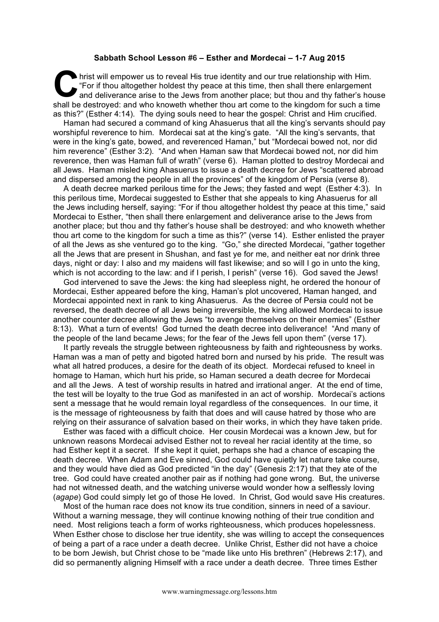## **Sabbath School Lesson #6 – Esther and Mordecai – 1-7 Aug 2015**

hrist will empower us to reveal His true identity and our true relationship with Him. "For if thou altogether holdest thy peace at this time, then shall there enlargement and deliverance arise to the Jews from another place; but thou and thy father's house shall be destroyed: and who knoweth whether thou art come to the kingdom for such a time as this?" (Esther 4:14). The dying souls need to hear the gospel: Christ and Him crucified. **C** For the state of the state of the state of the state of the state of the state of the state of the state of the state of the state of the state of the state of the state of the state of the state of the state of the st

Haman had secured a command of king Ahasuerus that all the king's servants should pay worshipful reverence to him. Mordecai sat at the king's gate. "All the king's servants, that were in the king's gate, bowed, and reverenced Haman," but "Mordecai bowed not, nor did him reverence" (Esther 3:2). "And when Haman saw that Mordecai bowed not, nor did him reverence, then was Haman full of wrath" (verse 6). Haman plotted to destroy Mordecai and all Jews. Haman misled king Ahasuerus to issue a death decree for Jews "scattered abroad and dispersed among the people in all the provinces" of the kingdom of Persia (verse 8).

A death decree marked perilous time for the Jews; they fasted and wept (Esther 4:3). In this perilous time, Mordecai suggested to Esther that she appeals to king Ahasuerus for all the Jews including herself, saying: "For if thou altogether holdest thy peace at this time," said Mordecai to Esther, "then shall there enlargement and deliverance arise to the Jews from another place; but thou and thy father's house shall be destroyed: and who knoweth whether thou art come to the kingdom for such a time as this?" (verse 14). Esther enlisted the prayer of all the Jews as she ventured go to the king. "Go," she directed Mordecai, "gather together all the Jews that are present in Shushan, and fast ye for me, and neither eat nor drink three days, night or day: I also and my maidens will fast likewise; and so will I go in unto the king, which is not according to the law: and if I perish, I perish" (verse 16). God saved the Jews!

God intervened to save the Jews: the king had sleepless night, he ordered the honour of Mordecai, Esther appeared before the king, Haman's plot uncovered, Haman hanged, and Mordecai appointed next in rank to king Ahasuerus. As the decree of Persia could not be reversed, the death decree of all Jews being irreversible, the king allowed Mordecai to issue another counter decree allowing the Jews "to avenge themselves on their enemies" (Esther 8:13). What a turn of events! God turned the death decree into deliverance! "And many of the people of the land became Jews; for the fear of the Jews fell upon them" (verse 17).

It partly reveals the struggle between righteousness by faith and righteousness by works. Haman was a man of petty and bigoted hatred born and nursed by his pride. The result was what all hatred produces, a desire for the death of its object. Mordecai refused to kneel in homage to Haman, which hurt his pride, so Haman secured a death decree for Mordecai and all the Jews. A test of worship results in hatred and irrational anger. At the end of time, the test will be loyalty to the true God as manifested in an act of worship. Mordecai's actions sent a message that he would remain loyal regardless of the consequences. In our time, it is the message of righteousness by faith that does and will cause hatred by those who are relying on their assurance of salvation based on their works, in which they have taken pride.

Esther was faced with a difficult choice. Her cousin Mordecai was a known Jew, but for unknown reasons Mordecai advised Esther not to reveal her racial identity at the time, so had Esther kept it a secret. If she kept it quiet, perhaps she had a chance of escaping the death decree. When Adam and Eve sinned, God could have quietly let nature take course, and they would have died as God predicted "in the day" (Genesis 2:17) that they ate of the tree. God could have created another pair as if nothing had gone wrong. But, the universe had not witnessed death, and the watching universe would wonder how a selflessly loving (*agape*) God could simply let go of those He loved. In Christ, God would save His creatures.

Most of the human race does not know its true condition, sinners in need of a saviour. Without a warning message, they will continue knowing nothing of their true condition and need. Most religions teach a form of works righteousness, which produces hopelessness. When Esther chose to disclose her true identity, she was willing to accept the consequences of being a part of a race under a death decree. Unlike Christ, Esther did not have a choice to be born Jewish, but Christ chose to be "made like unto His brethren" (Hebrews 2:17), and did so permanently aligning Himself with a race under a death decree. Three times Esther